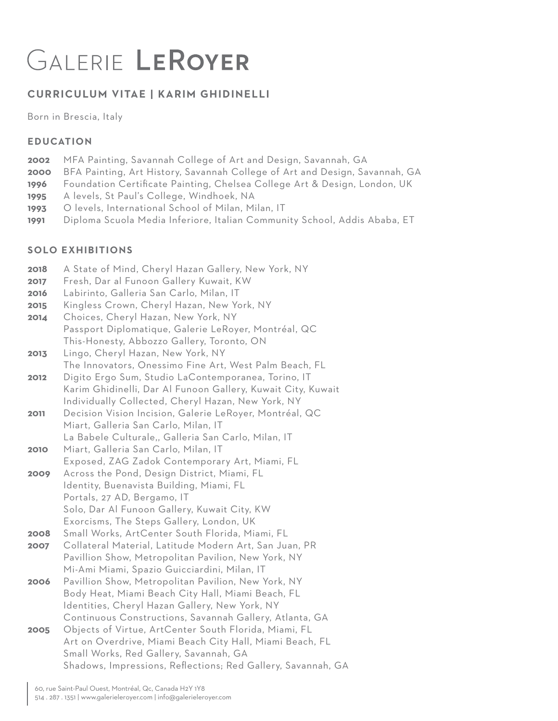# GALERIE LEROYER

# **CURRICULUM VITAE | KARIM GHIDINELLI**

Born in Brescia, Italy

#### **EDUCATION**

- **2002** MFA Painting, Savannah College of Art and Design, Savannah, GA
- **2000** BFA Painting, Art History, Savannah College of Art and Design, Savannah, GA
- **1996** Foundation Certificate Painting, Chelsea College Art & Design, London, UK
- **1995** A levels, St Paul's College, Windhoek, NA
- **1993** O levels, International School of Milan, Milan, IT
- **1991** Diploma Scuola Media Inferiore, Italian Community School, Addis Ababa, ET

## **SOLO EXHIBITIONS**

- **2018** A State of Mind, Cheryl Hazan Gallery, New York, NY
- **2017** Fresh, Dar al Funoon Gallery Kuwait, KW
- **2016** Labirinto, Galleria San Carlo, Milan, IT
- **2015** Kingless Crown, Cheryl Hazan, New York, NY
- **2014** Choices, Cheryl Hazan, New York, NY Passport Diplomatique, Galerie LeRoyer, Montréal, QC This-Honesty, Abbozzo Gallery, Toronto, ON
- **2013** Lingo, Cheryl Hazan, New York, NY The Innovators, Onessimo Fine Art, West Palm Beach, FL
- **2012** Digito Ergo Sum, Studio LaContemporanea, Torino, IT Karim Ghidinelli, Dar Al Funoon Gallery, Kuwait City, Kuwait Individually Collected, Cheryl Hazan, New York, NY
- **2011** Decision Vision Incision, Galerie LeRoyer, Montréal, QC Miart, Galleria San Carlo, Milan, IT La Babele Culturale,, Galleria San Carlo, Milan, IT
- **2010** Miart, Galleria San Carlo, Milan, IT Exposed, ZAG Zadok Contemporary Art, Miami, FL
- **2009** Across the Pond, Design District, Miami, FL Identity, Buenavista Building, Miami, FL Portals, 27 AD, Bergamo, IT Solo, Dar Al Funoon Gallery, Kuwait City, KW Exorcisms, The Steps Gallery, London, UK
- **2008** Small Works, ArtCenter South Florida, Miami, FL
- **2007** Collateral Material, Latitude Modern Art, San Juan, PR Pavillion Show, Metropolitan Pavilion, New York, NY Mi-Ami Miami, Spazio Guicciardini, Milan, IT
- **2006** Pavillion Show, Metropolitan Pavilion, New York, NY Body Heat, Miami Beach City Hall, Miami Beach, FL Identities, Cheryl Hazan Gallery, New York, NY Continuous Constructions, Savannah Gallery, Atlanta, GA
- **2005** Objects of Virtue, ArtCenter South Florida, Miami, FL Art on Overdrive, Miami Beach City Hall, Miami Beach, FL Small Works, Red Gallery, Savannah, GA Shadows, Impressions, Reflections; Red Gallery, Savannah, GA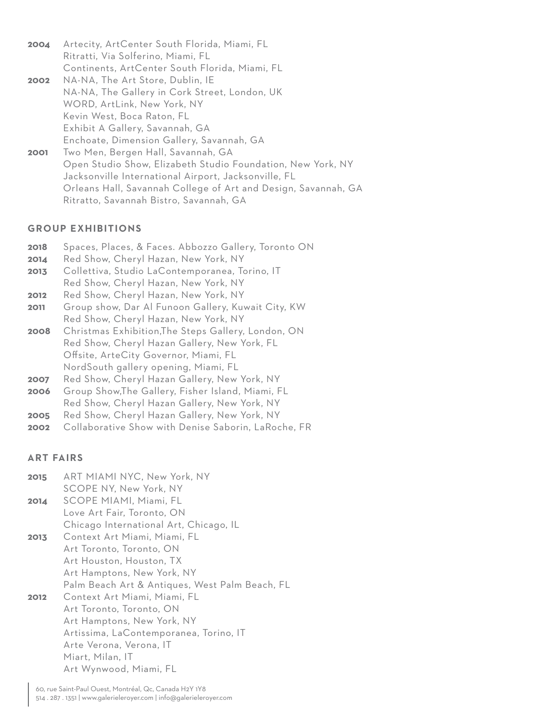**2004** Artecity, ArtCenter South Florida, Miami, FL Ritratti, Via Solferino, Miami, FL Continents, ArtCenter South Florida, Miami, FL

- **2002 2001** NA-NA, The Art Store, Dublin, IE NA-NA, The Gallery in Cork Street, London, UK WORD, ArtLink, New York, NY Kevin West, Boca Raton, FL Exhibit A Gallery, Savannah, GA Enchoate, Dimension Gallery, Savannah, GA Two Men, Bergen Hall, Savannah, GA Open Studio Show, Elizabeth Studio Foundation, New York, NY
	- Jacksonville International Airport, Jacksonville, FL Orleans Hall, Savannah College of Art and Design, Savannah, GA Ritratto, Savannah Bistro, Savannah, GA

#### **GROUP EXHIBITIONS**

- **2018** Spaces, Places, & Faces. Abbozzo Gallery, Toronto ON
- **2014** Red Show, Cheryl Hazan, New York, NY
- **2013** Collettiva, Studio LaContemporanea, Torino, IT Red Show, Cheryl Hazan, New York, NY
- **2012** Red Show, Cheryl Hazan, New York, NY
- **2011** Group show, Dar Al Funoon Gallery, Kuwait City, KW Red Show, Cheryl Hazan, New York, NY
- **2008** Christmas Exhibition,The Steps Gallery, London, ON Red Show, Cheryl Hazan Gallery, New York, FL Offsite, ArteCity Governor, Miami, FL NordSouth gallery opening, Miami, FL
- **2007** Red Show, Cheryl Hazan Gallery, New York, NY
- **2006** Group Show,The Gallery, Fisher Island, Miami, FL Red Show, Cheryl Hazan Gallery, New York, NY
- **2005** Red Show, Cheryl Hazan Gallery, New York, NY
- **2002** Collaborative Show with Denise Saborin, LaRoche, FR

## **ART FAIRS**

**2015 2014 2013 2012** ART MIAMI NYC, New York, NY SCOPE NY, New York, NY SCOPE MIAMI, Miami, FL Love Art Fair, Toronto, ON Chicago International Art, Chicago, IL Context Art Miami, Miami, FL Art Toronto, Toronto, ON Art Houston, Houston, TX Art Hamptons, New York, NY Palm Beach Art & Antiques, West Palm Beach, FL Context Art Miami, Miami, FL Art Toronto, Toronto, ON Art Hamptons, New York, NY Artissima, LaContemporanea, Torino, IT Arte Verona, Verona, IT Miart, Milan, IT Art Wynwood, Miami, FL